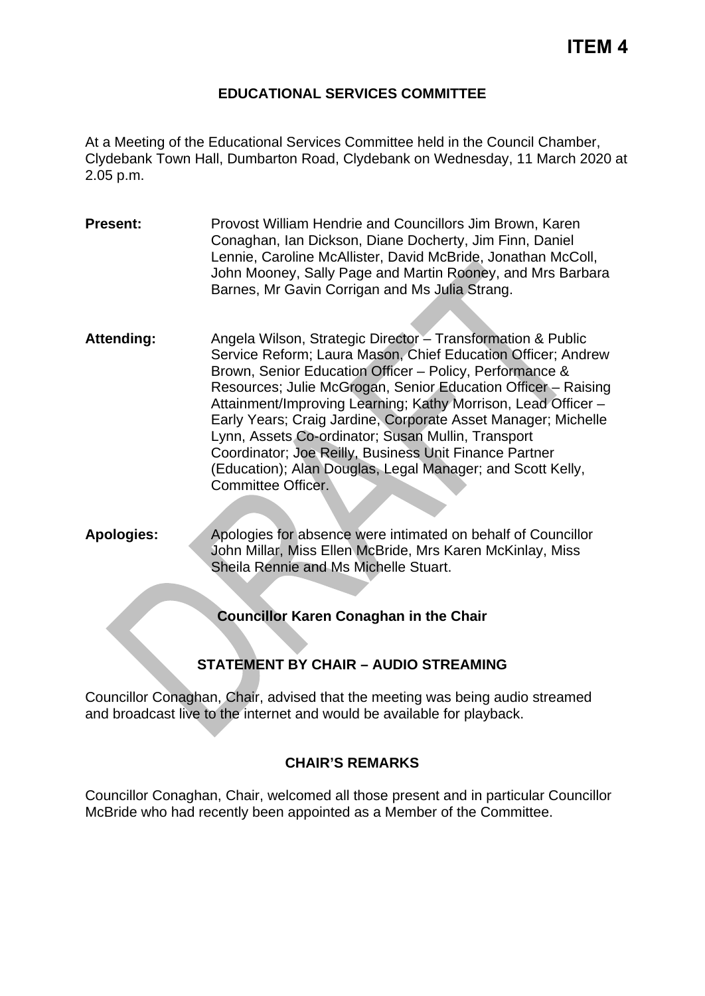# **ITEM 4**

#### **EDUCATIONAL SERVICES COMMITTEE**

At a Meeting of the Educational Services Committee held in the Council Chamber, Clydebank Town Hall, Dumbarton Road, Clydebank on Wednesday, 11 March 2020 at 2.05 p.m.

- **Present:** Provost William Hendrie and Councillors Jim Brown, Karen Conaghan, Ian Dickson, Diane Docherty, Jim Finn, Daniel Lennie, Caroline McAllister, David McBride, Jonathan McColl, John Mooney, Sally Page and Martin Rooney, and Mrs Barbara Barnes, Mr Gavin Corrigan and Ms Julia Strang.
- Attending: Angela Wilson, Strategic Director Transformation & Public Service Reform; Laura Mason, Chief Education Officer; Andrew Brown, Senior Education Officer – Policy, Performance & Resources; Julie McGrogan, Senior Education Officer – Raising Attainment/Improving Learning; Kathy Morrison, Lead Officer – Early Years; Craig Jardine, Corporate Asset Manager; Michelle Lynn, Assets Co-ordinator; Susan Mullin, Transport Coordinator; Joe Reilly, Business Unit Finance Partner (Education); Alan Douglas, Legal Manager; and Scott Kelly, Committee Officer.
- **Apologies:** Apologies for absence were intimated on behalf of Councillor John Millar, Miss Ellen McBride, Mrs Karen McKinlay, Miss Sheila Rennie and Ms Michelle Stuart.

**Councillor Karen Conaghan in the Chair**

# **STATEMENT BY CHAIR – AUDIO STREAMING**

Councillor Conaghan, Chair, advised that the meeting was being audio streamed and broadcast live to the internet and would be available for playback.

#### **CHAIR'S REMARKS**

Councillor Conaghan, Chair, welcomed all those present and in particular Councillor McBride who had recently been appointed as a Member of the Committee.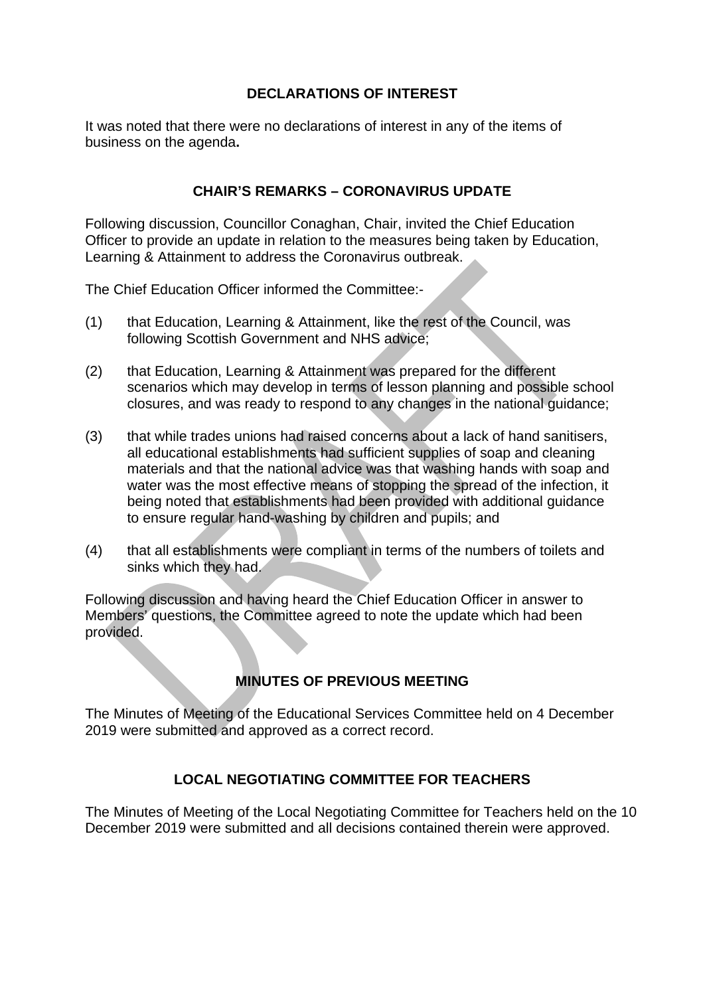## **DECLARATIONS OF INTEREST**

It was noted that there were no declarations of interest in any of the items of business on the agenda**.**

### **CHAIR'S REMARKS – CORONAVIRUS UPDATE**

Following discussion, Councillor Conaghan, Chair, invited the Chief Education Officer to provide an update in relation to the measures being taken by Education, Learning & Attainment to address the Coronavirus outbreak.

The Chief Education Officer informed the Committee:-

- (1) that Education, Learning & Attainment, like the rest of the Council, was following Scottish Government and NHS advice;
- (2) that Education, Learning & Attainment was prepared for the different scenarios which may develop in terms of lesson planning and possible school closures, and was ready to respond to any changes in the national guidance;
- (3) that while trades unions had raised concerns about a lack of hand sanitisers, all educational establishments had sufficient supplies of soap and cleaning materials and that the national advice was that washing hands with soap and water was the most effective means of stopping the spread of the infection, it being noted that establishments had been provided with additional guidance to ensure regular hand-washing by children and pupils; and
- (4) that all establishments were compliant in terms of the numbers of toilets and sinks which they had.

Following discussion and having heard the Chief Education Officer in answer to Members' questions, the Committee agreed to note the update which had been provided.

# **MINUTES OF PREVIOUS MEETING**

The Minutes of Meeting of the Educational Services Committee held on 4 December 2019 were submitted and approved as a correct record.

# **LOCAL NEGOTIATING COMMITTEE FOR TEACHERS**

The Minutes of Meeting of the Local Negotiating Committee for Teachers held on the 10 December 2019 were submitted and all decisions contained therein were approved.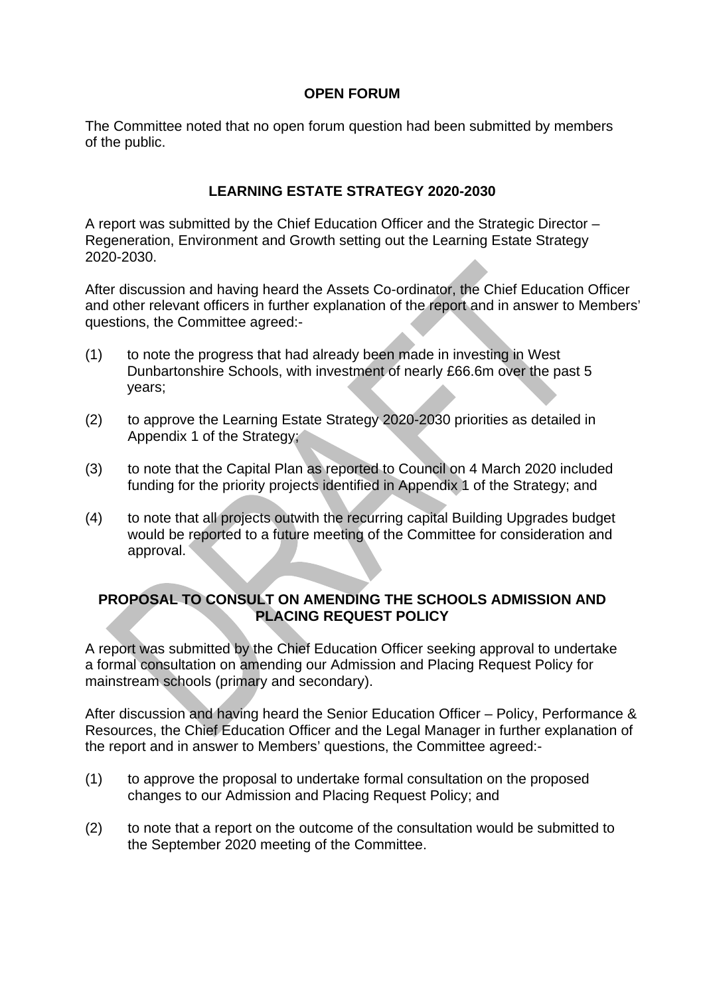#### **OPEN FORUM**

The Committee noted that no open forum question had been submitted by members of the public.

## **LEARNING ESTATE STRATEGY 2020-2030**

A report was submitted by the Chief Education Officer and the Strategic Director – Regeneration, Environment and Growth setting out the Learning Estate Strategy 2020-2030.

After discussion and having heard the Assets Co-ordinator, the Chief Education Officer and other relevant officers in further explanation of the report and in answer to Members' questions, the Committee agreed:-

- (1) to note the progress that had already been made in investing in West Dunbartonshire Schools, with investment of nearly £66.6m over the past 5 years;
- (2) to approve the Learning Estate Strategy 2020-2030 priorities as detailed in Appendix 1 of the Strategy;
- (3) to note that the Capital Plan as reported to Council on 4 March 2020 included funding for the priority projects identified in Appendix 1 of the Strategy; and
- (4) to note that all projects outwith the recurring capital Building Upgrades budget would be reported to a future meeting of the Committee for consideration and approval.

### **PROPOSAL TO CONSULT ON AMENDING THE SCHOOLS ADMISSION AND PLACING REQUEST POLICY**

A report was submitted by the Chief Education Officer seeking approval to undertake a formal consultation on amending our Admission and Placing Request Policy for mainstream schools (primary and secondary).

After discussion and having heard the Senior Education Officer – Policy, Performance & Resources, the Chief Education Officer and the Legal Manager in further explanation of the report and in answer to Members' questions, the Committee agreed:-

- (1) to approve the proposal to undertake formal consultation on the proposed changes to our Admission and Placing Request Policy; and
- (2) to note that a report on the outcome of the consultation would be submitted to the September 2020 meeting of the Committee.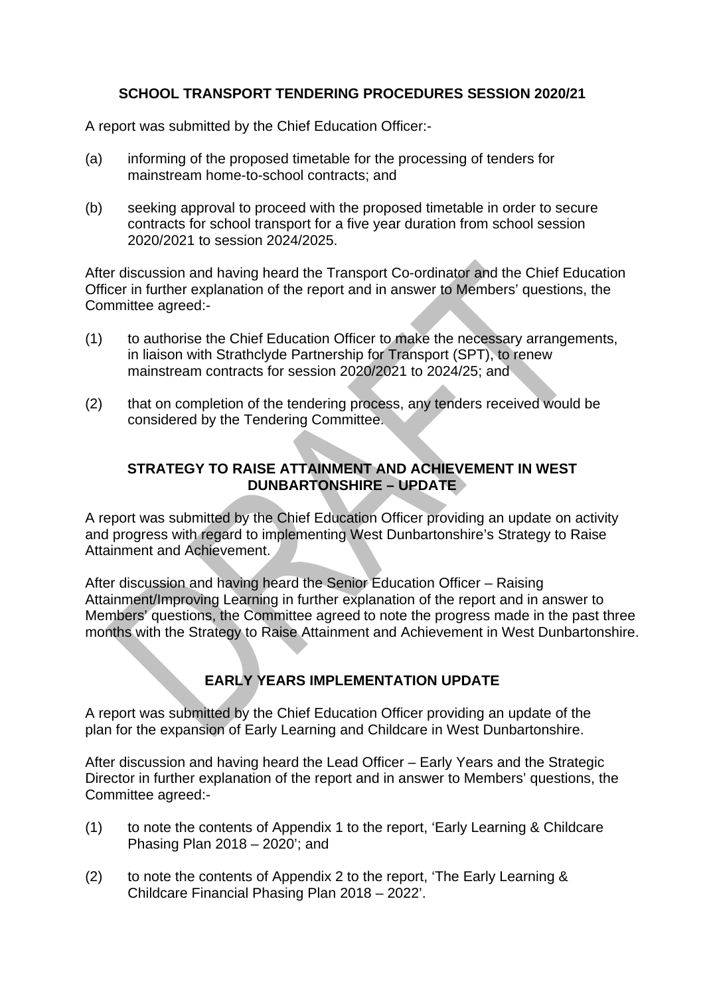# **SCHOOL TRANSPORT TENDERING PROCEDURES SESSION 2020/21**

A report was submitted by the Chief Education Officer:-

- (a) informing of the proposed timetable for the processing of tenders for mainstream home-to-school contracts; and
- (b) seeking approval to proceed with the proposed timetable in order to secure contracts for school transport for a five year duration from school session 2020/2021 to session 2024/2025.

After discussion and having heard the Transport Co-ordinator and the Chief Education Officer in further explanation of the report and in answer to Members' questions, the Committee agreed:-

- (1) to authorise the Chief Education Officer to make the necessary arrangements, in liaison with Strathclyde Partnership for Transport (SPT), to renew mainstream contracts for session 2020/2021 to 2024/25; and
- (2) that on completion of the tendering process, any tenders received would be considered by the Tendering Committee.

# **STRATEGY TO RAISE ATTAINMENT AND ACHIEVEMENT IN WEST DUNBARTONSHIRE – UPDATE**

A report was submitted by the Chief Education Officer providing an update on activity and progress with regard to implementing West Dunbartonshire's Strategy to Raise Attainment and Achievement.

After discussion and having heard the Senior Education Officer – Raising Attainment/Improving Learning in further explanation of the report and in answer to Members' questions, the Committee agreed to note the progress made in the past three months with the Strategy to Raise Attainment and Achievement in West Dunbartonshire.

# **EARLY YEARS IMPLEMENTATION UPDATE**

A report was submitted by the Chief Education Officer providing an update of the plan for the expansion of Early Learning and Childcare in West Dunbartonshire.

After discussion and having heard the Lead Officer – Early Years and the Strategic Director in further explanation of the report and in answer to Members' questions, the Committee agreed:-

- (1) to note the contents of Appendix 1 to the report, 'Early Learning & Childcare Phasing Plan 2018 – 2020'; and
- (2) to note the contents of Appendix 2 to the report, 'The Early Learning & Childcare Financial Phasing Plan 2018 – 2022'.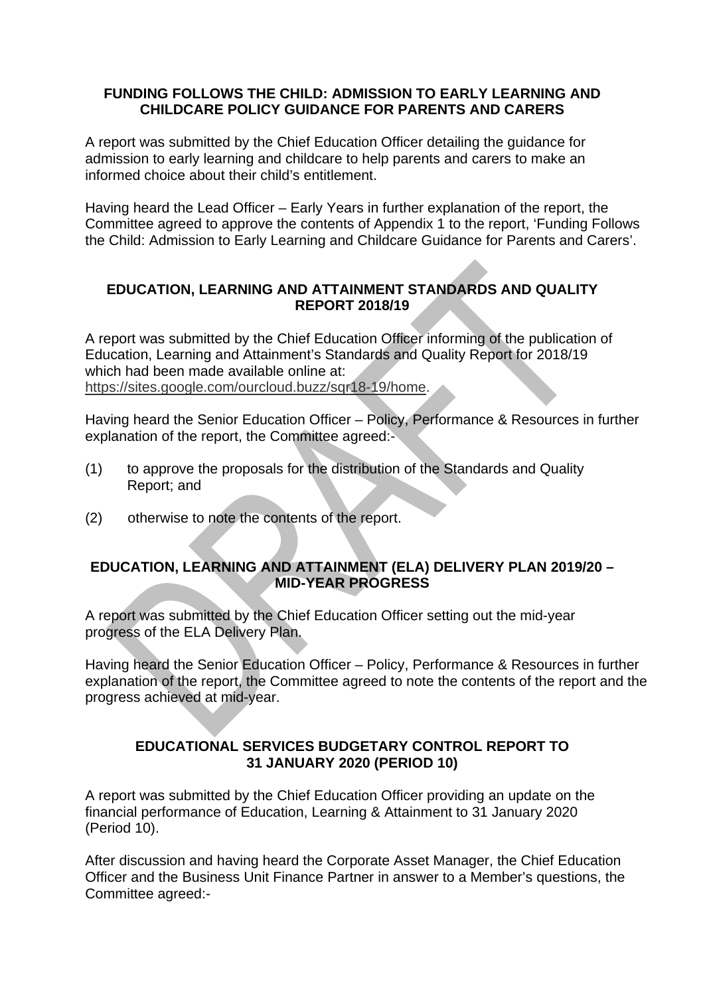#### **FUNDING FOLLOWS THE CHILD: ADMISSION TO EARLY LEARNING AND CHILDCARE POLICY GUIDANCE FOR PARENTS AND CARERS**

A report was submitted by the Chief Education Officer detailing the guidance for admission to early learning and childcare to help parents and carers to make an informed choice about their child's entitlement.

Having heard the Lead Officer – Early Years in further explanation of the report, the Committee agreed to approve the contents of Appendix 1 to the report, 'Funding Follows the Child: Admission to Early Learning and Childcare Guidance for Parents and Carers'.

#### **EDUCATION, LEARNING AND ATTAINMENT STANDARDS AND QUALITY REPORT 2018/19**

A report was submitted by the Chief Education Officer informing of the publication of Education, Learning and Attainment's Standards and Quality Report for 2018/19 which had been made available online at: [https://sites.google.com/ourcloud.buzz/sqr18-19/home.](https://sites.google.com/ourcloud.buzz/sqr18-19/home)

Having heard the Senior Education Officer – Policy, Performance & Resources in further explanation of the report, the Committee agreed:-

- (1) to approve the proposals for the distribution of the Standards and Quality Report; and
- (2) otherwise to note the contents of the report.

#### **EDUCATION, LEARNING AND ATTAINMENT (ELA) DELIVERY PLAN 2019/20 – MID-YEAR PROGRESS**

A report was submitted by the Chief Education Officer setting out the mid-year progress of the ELA Delivery Plan.

Having heard the Senior Education Officer – Policy, Performance & Resources in further explanation of the report, the Committee agreed to note the contents of the report and the progress achieved at mid-year.

### **EDUCATIONAL SERVICES BUDGETARY CONTROL REPORT TO 31 JANUARY 2020 (PERIOD 10)**

A report was submitted by the Chief Education Officer providing an update on the financial performance of Education, Learning & Attainment to 31 January 2020 (Period 10).

After discussion and having heard the Corporate Asset Manager, the Chief Education Officer and the Business Unit Finance Partner in answer to a Member's questions, the Committee agreed:-